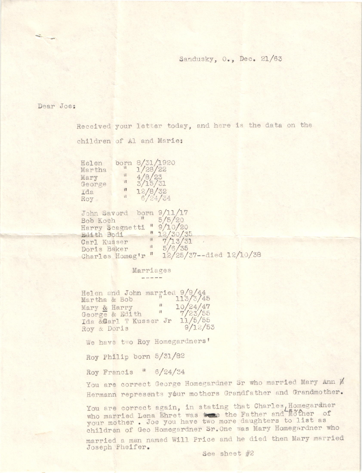## Sandusky, O., Dec. 21/63

### Dear Joe:

Received your letter today, and here is the data on the children of Al and Marie:

Helen born 8/31/1920<br>Martha 1/28/22 Mary George Ida Roy

John Savord born 9/11/17 Bob Koch  $1/5/20$ Harry Scegnetti " 9/10/20<br>
Edith Bodi " 12/30/35<br>
Carl Kusser " 7/13/31<br>
Charles Homeg'r " 12/25/37--died 12/10/38

#### Marriages -----

 $\frac{1/28}{22}$ <br> $\frac{4/8}{25}$ <br> $\frac{23}{3/15}$ 

 $\frac{12}{6}/\frac{8}{32}$ 

 $\mathbf{u}$ 

 $\mathbf{u}$ 

Helen and John married  $9/9/44$ <br>Martha & Bob<br>Mary & Harry (10/24/47 George & Edith  $\frac{1}{7/23/55}$ Ida &Carl T Kusser Jr 11/5/55  $9/12/53$ Roy & Doris

We have two Roy Homegardners'

Roy Philip born 5/31/82

Roy Francis " 6/24/34

You are correct George Homegardner Sr who married Mary Ann Ø Hermann represents your mothers Grandfather and Grandmother.

You are correct again, in stating that Charles, Homegardner<br>who married Lena Ehret was to the Father and Mother of your mother. Joe you have two more daughters to list as children of Geo Homegardner Sr. One was Mary Homegardner who

married a man named Will Price and he died then Mary married Joseph Pheifer.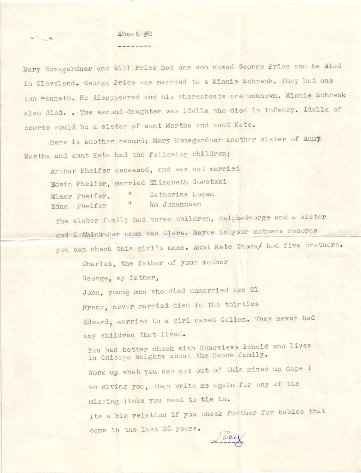# Sheet  $#2$ --------

 $\mathbf{v}^{(1)}$  and  $\mathbf{v}^{(2)}$ 

Mary Homegardner and will Price had one son named George Price and he died in Cleveland. George Price was married to a Minnie Schrenk. They had one son Aenneth. He disappeared and his whereabouts are unknown. Minnie Schrenk also died. . The second daughter was Idella who died in infancy. Idella of course would be a sister of aunt Martha and aunt Kate.

Here is another record; Mary Homegardner another sister of Auny Martha and aunt Kate had the following children;

Arthur Pheifer deceased, and was not married Edwin Pheifer, married Elizabeth Goretzki Catherine Logan  $\mathbf{u}$ Elmer Pheifer. Edna Pheifer Wm Johannsen

The Wieber family had three children, Ralph-George and a sister and I think her name was Clara. Maybe in your mothers records you can check this girl's name. Aunt Kate Thomas had five brothers.

Charles, the father of your mother

George, my father,

John, young man who died unmarried age 21 Frank, never married died in the thirties Edward, married to a girl named Callan. They never had any children that lived.

You had better check with Genevieve Scheid who lives in Chicago Heights about the Hauck family. Work up what you can get out of this mixed up dope I am giving you, then write me again for any of the missing links you need to tie in. Its a big relation if you check further for babies that came in the last 25 years.  $J$  Loy